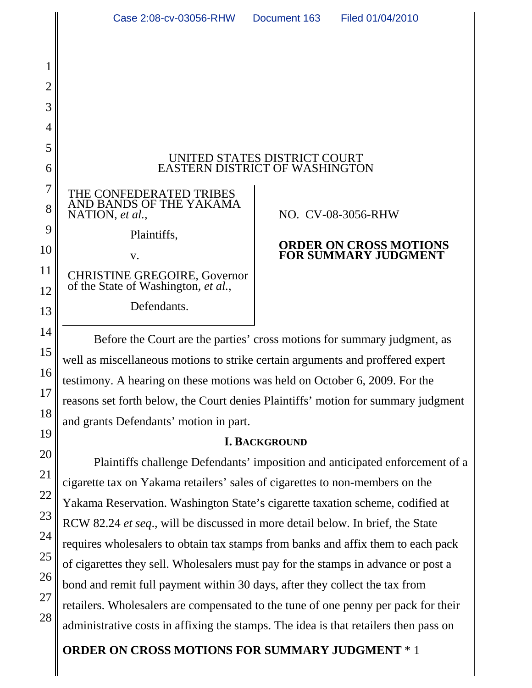

#### UNITED STATES DISTRICT COURT EASTERN DISTRICT OF WASHINGTON

THE CONFEDERATED TRIBES AND BANDS OF THE YAKAMA NATION, *et al.*,

Plaintiffs,

v.

CHRISTINE GREGOIRE, Governor of the State of Washington, *et al.*,

Defendants.

## NO. CV-08-3056-RHW

## **ORDER ON CROSS MOTIONS FOR SUMMARY JUDGMENT**

Before the Court are the parties' cross motions for summary judgment, as well as miscellaneous motions to strike certain arguments and proffered expert testimony. A hearing on these motions was held on October 6, 2009. For the reasons set forth below, the Court denies Plaintiffs' motion for summary judgment and grants Defendants' motion in part.

## **I. BACKGROUND**

Plaintiffs challenge Defendants' imposition and anticipated enforcement of a cigarette tax on Yakama retailers' sales of cigarettes to non-members on the Yakama Reservation. Washington State's cigarette taxation scheme, codified at RCW 82.24 *et seq*., will be discussed in more detail below. In brief, the State requires wholesalers to obtain tax stamps from banks and affix them to each pack of cigarettes they sell. Wholesalers must pay for the stamps in advance or post a bond and remit full payment within 30 days, after they collect the tax from retailers. Wholesalers are compensated to the tune of one penny per pack for their administrative costs in affixing the stamps. The idea is that retailers then pass on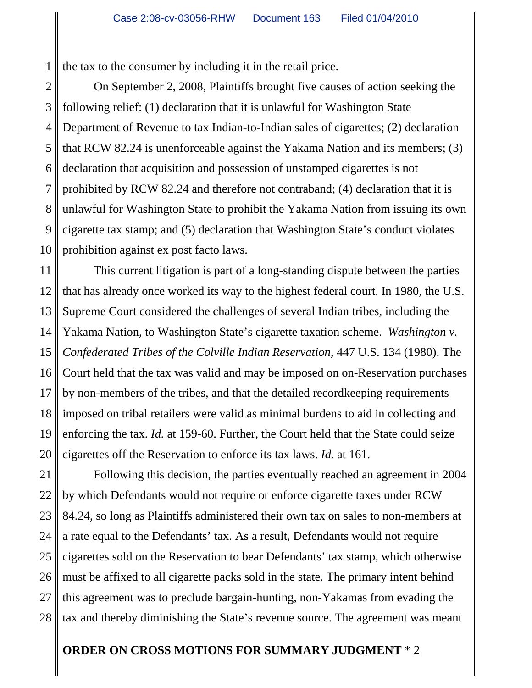1 the tax to the consumer by including it in the retail price.

2 3 4 On September 2, 2008, Plaintiffs brought five causes of action seeking the following relief: (1) declaration that it is unlawful for Washington State Department of Revenue to tax Indian-to-Indian sales of cigarettes; (2) declaration that RCW 82.24 is unenforceable against the Yakama Nation and its members; (3) declaration that acquisition and possession of unstamped cigarettes is not prohibited by RCW 82.24 and therefore not contraband; (4) declaration that it is unlawful for Washington State to prohibit the Yakama Nation from issuing its own cigarette tax stamp; and (5) declaration that Washington State's conduct violates prohibition against ex post facto laws.

This current litigation is part of a long-standing dispute between the parties that has already once worked its way to the highest federal court. In 1980, the U.S. Supreme Court considered the challenges of several Indian tribes, including the Yakama Nation, to Washington State's cigarette taxation scheme. *Washington v. Confederated Tribes of the Colville Indian Reservation*, 447 U.S. 134 (1980). The Court held that the tax was valid and may be imposed on on-Reservation purchases by non-members of the tribes, and that the detailed recordkeeping requirements imposed on tribal retailers were valid as minimal burdens to aid in collecting and enforcing the tax. *Id.* at 159-60. Further, the Court held that the State could seize cigarettes off the Reservation to enforce its tax laws. *Id.* at 161.

Following this decision, the parties eventually reached an agreement in 2004 by which Defendants would not require or enforce cigarette taxes under RCW 84.24, so long as Plaintiffs administered their own tax on sales to non-members at a rate equal to the Defendants' tax. As a result, Defendants would not require cigarettes sold on the Reservation to bear Defendants' tax stamp, which otherwise must be affixed to all cigarette packs sold in the state. The primary intent behind this agreement was to preclude bargain-hunting, non-Yakamas from evading the tax and thereby diminishing the State's revenue source. The agreement was meant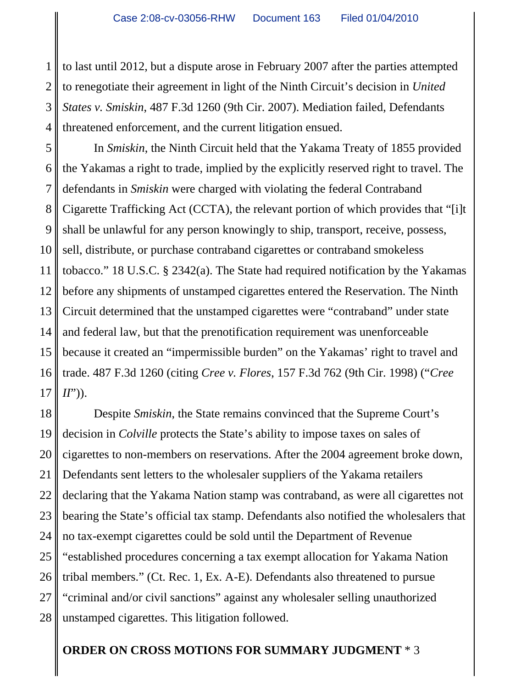1 2 3 4 to last until 2012, but a dispute arose in February 2007 after the parties attempted to renegotiate their agreement in light of the Ninth Circuit's decision in *United States v. Smiskin*, 487 F.3d 1260 (9th Cir. 2007). Mediation failed, Defendants threatened enforcement, and the current litigation ensued.

5 6 7 8 9 10 11 12 13 14 15 16 17 In *Smiskin*, the Ninth Circuit held that the Yakama Treaty of 1855 provided the Yakamas a right to trade, implied by the explicitly reserved right to travel. The defendants in *Smiskin* were charged with violating the federal Contraband Cigarette Trafficking Act (CCTA), the relevant portion of which provides that "[i]t shall be unlawful for any person knowingly to ship, transport, receive, possess, sell, distribute, or purchase contraband cigarettes or contraband smokeless tobacco." 18 U.S.C. § 2342(a). The State had required notification by the Yakamas before any shipments of unstamped cigarettes entered the Reservation. The Ninth Circuit determined that the unstamped cigarettes were "contraband" under state and federal law, but that the prenotification requirement was unenforceable because it created an "impermissible burden" on the Yakamas' right to travel and trade. 487 F.3d 1260 (citing *Cree v. Flores*, 157 F.3d 762 (9th Cir. 1998) ("*Cree II*")).

18 19 20 21 22 23 24 25 26 27 28 Despite *Smiskin*, the State remains convinced that the Supreme Court's decision in *Colville* protects the State's ability to impose taxes on sales of cigarettes to non-members on reservations. After the 2004 agreement broke down, Defendants sent letters to the wholesaler suppliers of the Yakama retailers declaring that the Yakama Nation stamp was contraband, as were all cigarettes not bearing the State's official tax stamp. Defendants also notified the wholesalers that no tax-exempt cigarettes could be sold until the Department of Revenue "established procedures concerning a tax exempt allocation for Yakama Nation tribal members." (Ct. Rec. 1, Ex. A-E). Defendants also threatened to pursue "criminal and/or civil sanctions" against any wholesaler selling unauthorized unstamped cigarettes. This litigation followed.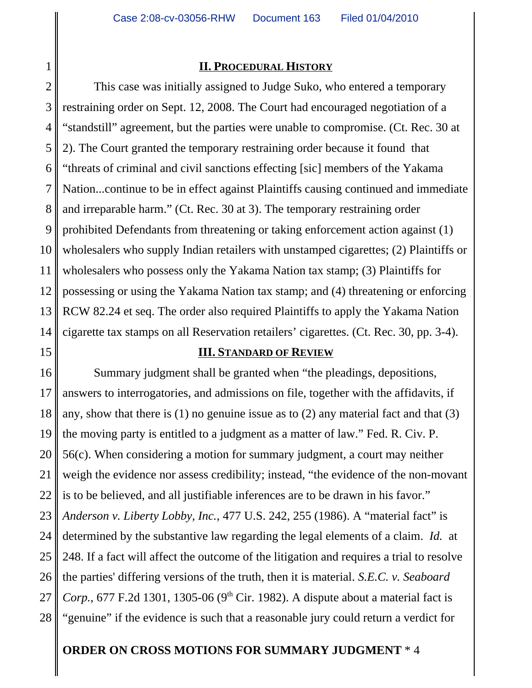## **II. PROCEDURAL HISTORY**

2 This case was initially assigned to Judge Suko, who entered a temporary restraining order on Sept. 12, 2008. The Court had encouraged negotiation of a "standstill" agreement, but the parties were unable to compromise. (Ct. Rec. 30 at 2). The Court granted the temporary restraining order because it found that "threats of criminal and civil sanctions effecting [sic] members of the Yakama Nation...continue to be in effect against Plaintiffs causing continued and immediate and irreparable harm." (Ct. Rec. 30 at 3). The temporary restraining order prohibited Defendants from threatening or taking enforcement action against (1) wholesalers who supply Indian retailers with unstamped cigarettes; (2) Plaintiffs or wholesalers who possess only the Yakama Nation tax stamp; (3) Plaintiffs for possessing or using the Yakama Nation tax stamp; and (4) threatening or enforcing RCW 82.24 et seq. The order also required Plaintiffs to apply the Yakama Nation cigarette tax stamps on all Reservation retailers' cigarettes. (Ct. Rec. 30, pp. 3-4).

## **III. STANDARD OF REVIEW**

Summary judgment shall be granted when "the pleadings, depositions, answers to interrogatories, and admissions on file, together with the affidavits, if any, show that there is (1) no genuine issue as to (2) any material fact and that (3) the moving party is entitled to a judgment as a matter of law." Fed. R. Civ. P. 56(c). When considering a motion for summary judgment, a court may neither weigh the evidence nor assess credibility; instead, "the evidence of the non-movant is to be believed, and all justifiable inferences are to be drawn in his favor." *Anderson v. Liberty Lobby, Inc.*, 477 U.S. 242, 255 (1986). A "material fact" is determined by the substantive law regarding the legal elements of a claim. *Id.* at 248. If a fact will affect the outcome of the litigation and requires a trial to resolve the parties' differing versions of the truth, then it is material. *S.E.C. v. Seaboard Corp.*, 677 F.2d 1301, 1305-06 (9<sup>th</sup> Cir. 1982). A dispute about a material fact is "genuine" if the evidence is such that a reasonable jury could return a verdict for

# **ORDER ON CROSS MOTIONS FOR SUMMARY JUDGMENT** \* 4

1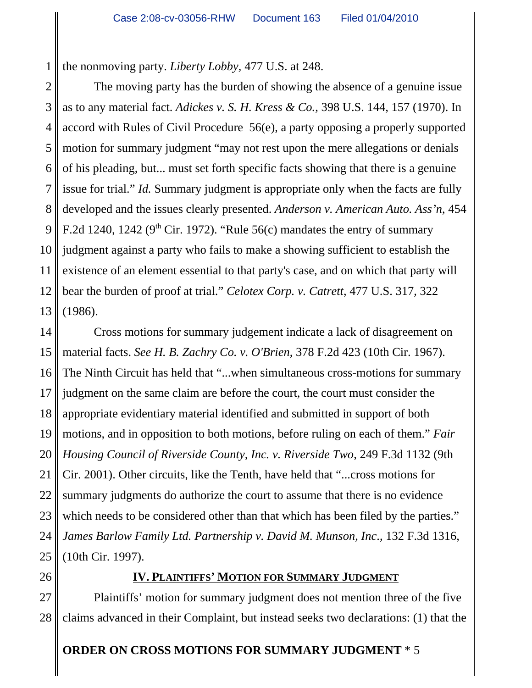1 the nonmoving party. *Liberty Lobby,* 477 U.S. at 248.

2 3 4 5 6 7 8 9 10 11 The moving party has the burden of showing the absence of a genuine issue as to any material fact. *Adickes v. S. H. Kress & Co.*, 398 U.S. 144, 157 (1970). In accord with Rules of Civil Procedure 56(e), a party opposing a properly supported motion for summary judgment "may not rest upon the mere allegations or denials of his pleading, but... must set forth specific facts showing that there is a genuine issue for trial." *Id.* Summary judgment is appropriate only when the facts are fully developed and the issues clearly presented. *Anderson v. American Auto. Ass'n*, 454 F.2d 1240, 1242 ( $9<sup>th</sup>$  Cir. 1972). "Rule 56(c) mandates the entry of summary judgment against a party who fails to make a showing sufficient to establish the existence of an element essential to that party's case, and on which that party will bear the burden of proof at trial." *Celotex Corp. v. Catrett*, 477 U.S. 317, 322 (1986).

16 Cross motions for summary judgement indicate a lack of disagreement on material facts. *See H. B. Zachry Co. v. O'Brien*, 378 F.2d 423 (10th Cir. 1967). The Ninth Circuit has held that "...when simultaneous cross-motions for summary judgment on the same claim are before the court, the court must consider the appropriate evidentiary material identified and submitted in support of both motions, and in opposition to both motions, before ruling on each of them." *Fair Housing Council of Riverside County, Inc. v. Riverside Two*, 249 F.3d 1132 (9th Cir. 2001). Other circuits, like the Tenth, have held that "...cross motions for summary judgments do authorize the court to assume that there is no evidence which needs to be considered other than that which has been filed by the parties." *James Barlow Family Ltd. Partnership v. David M. Munson, Inc*., 132 F.3d 1316, (10th Cir. 1997).

## **IV. PLAINTIFFS' MOTION FOR SUMMARY JUDGMENT**

Plaintiffs' motion for summary judgment does not mention three of the five claims advanced in their Complaint, but instead seeks two declarations: (1) that the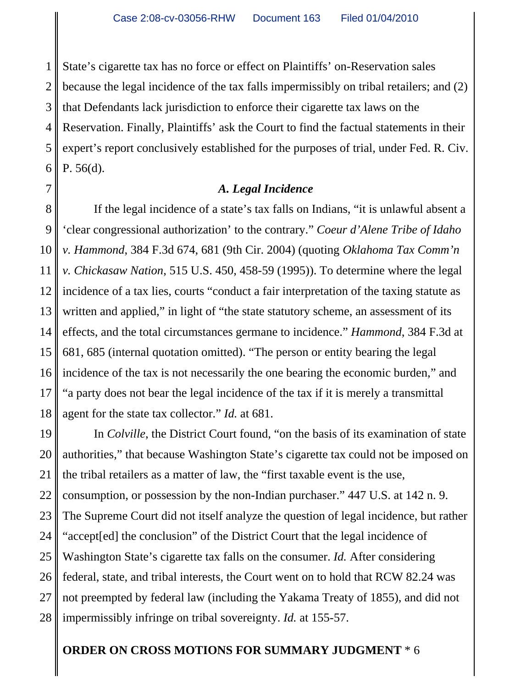1 2 3 4 State's cigarette tax has no force or effect on Plaintiffs' on-Reservation sales because the legal incidence of the tax falls impermissibly on tribal retailers; and (2) that Defendants lack jurisdiction to enforce their cigarette tax laws on the Reservation. Finally, Plaintiffs' ask the Court to find the factual statements in their expert's report conclusively established for the purposes of trial, under Fed. R. Civ. P. 56(d).

## *A. Legal Incidence*

If the legal incidence of a state's tax falls on Indians, "it is unlawful absent a 'clear congressional authorization' to the contrary." *Coeur d'Alene Tribe of Idaho v. Hammond*, 384 F.3d 674, 681 (9th Cir. 2004) (quoting *Oklahoma Tax Comm'n v. Chickasaw Nation*, 515 U.S. 450, 458-59 (1995)). To determine where the legal incidence of a tax lies, courts "conduct a fair interpretation of the taxing statute as written and applied," in light of "the state statutory scheme, an assessment of its effects, and the total circumstances germane to incidence." *Hammond*, 384 F.3d at 681, 685 (internal quotation omitted). "The person or entity bearing the legal incidence of the tax is not necessarily the one bearing the economic burden," and "a party does not bear the legal incidence of the tax if it is merely a transmittal agent for the state tax collector." *Id.* at 681.

28 In *Colville*, the District Court found, "on the basis of its examination of state authorities," that because Washington State's cigarette tax could not be imposed on the tribal retailers as a matter of law, the "first taxable event is the use, consumption, or possession by the non-Indian purchaser." 447 U.S. at 142 n. 9. The Supreme Court did not itself analyze the question of legal incidence, but rather "accept[ed] the conclusion" of the District Court that the legal incidence of Washington State's cigarette tax falls on the consumer. *Id.* After considering federal, state, and tribal interests, the Court went on to hold that RCW 82.24 was not preempted by federal law (including the Yakama Treaty of 1855), and did not impermissibly infringe on tribal sovereignty. *Id.* at 155-57.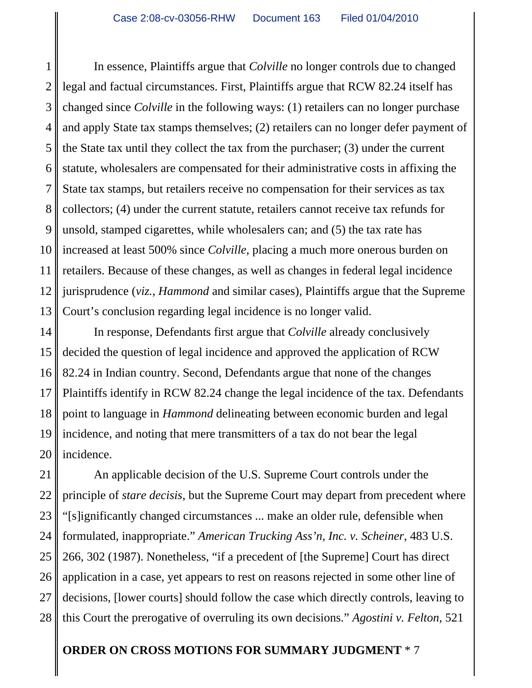1 2 3 4 5 6 7 In essence, Plaintiffs argue that *Colville* no longer controls due to changed legal and factual circumstances. First, Plaintiffs argue that RCW 82.24 itself has changed since *Colville* in the following ways: (1) retailers can no longer purchase and apply State tax stamps themselves; (2) retailers can no longer defer payment of the State tax until they collect the tax from the purchaser; (3) under the current statute, wholesalers are compensated for their administrative costs in affixing the State tax stamps, but retailers receive no compensation for their services as tax collectors; (4) under the current statute, retailers cannot receive tax refunds for unsold, stamped cigarettes, while wholesalers can; and (5) the tax rate has increased at least 500% since *Colville*, placing a much more onerous burden on retailers. Because of these changes, as well as changes in federal legal incidence jurisprudence (*viz.*, *Hammond* and similar cases), Plaintiffs argue that the Supreme Court's conclusion regarding legal incidence is no longer valid.

In response, Defendants first argue that *Colville* already conclusively decided the question of legal incidence and approved the application of RCW 82.24 in Indian country. Second, Defendants argue that none of the changes Plaintiffs identify in RCW 82.24 change the legal incidence of the tax. Defendants point to language in *Hammond* delineating between economic burden and legal incidence, and noting that mere transmitters of a tax do not bear the legal incidence.

An applicable decision of the U.S. Supreme Court controls under the principle of *stare decisis*, but the Supreme Court may depart from precedent where "[s]ignificantly changed circumstances ... make an older rule, defensible when formulated, inappropriate." *American Trucking Ass'n, Inc. v. Scheiner*, 483 U.S. 266, 302 (1987). Nonetheless, "if a precedent of [the Supreme] Court has direct application in a case, yet appears to rest on reasons rejected in some other line of decisions, [lower courts] should follow the case which directly controls, leaving to this Court the prerogative of overruling its own decisions." *Agostini v. Felton*, 521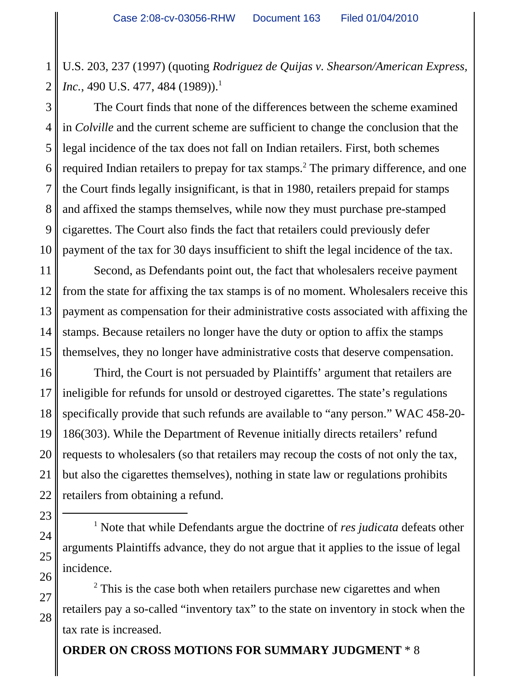1 2 U.S. 203, 237 (1997) (quoting *Rodriguez de Quijas v. Shearson/American Express, Inc.*, 490 U.S. 477, 484 (1989)).<sup>1</sup>

3 The Court finds that none of the differences between the scheme examined in *Colville* and the current scheme are sufficient to change the conclusion that the legal incidence of the tax does not fall on Indian retailers. First, both schemes required Indian retailers to prepay for tax stamps.<sup>2</sup> The primary difference, and one the Court finds legally insignificant, is that in 1980, retailers prepaid for stamps and affixed the stamps themselves, while now they must purchase pre-stamped cigarettes. The Court also finds the fact that retailers could previously defer payment of the tax for 30 days insufficient to shift the legal incidence of the tax.

Second, as Defendants point out, the fact that wholesalers receive payment from the state for affixing the tax stamps is of no moment. Wholesalers receive this payment as compensation for their administrative costs associated with affixing the stamps. Because retailers no longer have the duty or option to affix the stamps themselves, they no longer have administrative costs that deserve compensation.

Third, the Court is not persuaded by Plaintiffs' argument that retailers are ineligible for refunds for unsold or destroyed cigarettes. The state's regulations specifically provide that such refunds are available to "any person." WAC 458-20- 186(303). While the Department of Revenue initially directs retailers' refund requests to wholesalers (so that retailers may recoup the costs of not only the tax, but also the cigarettes themselves), nothing in state law or regulations prohibits retailers from obtaining a refund.

<sup>1</sup> Note that while Defendants argue the doctrine of *res judicata* defeats other arguments Plaintiffs advance, they do not argue that it applies to the issue of legal incidence.

 $2$  This is the case both when retailers purchase new cigarettes and when retailers pay a so-called "inventory tax" to the state on inventory in stock when the tax rate is increased.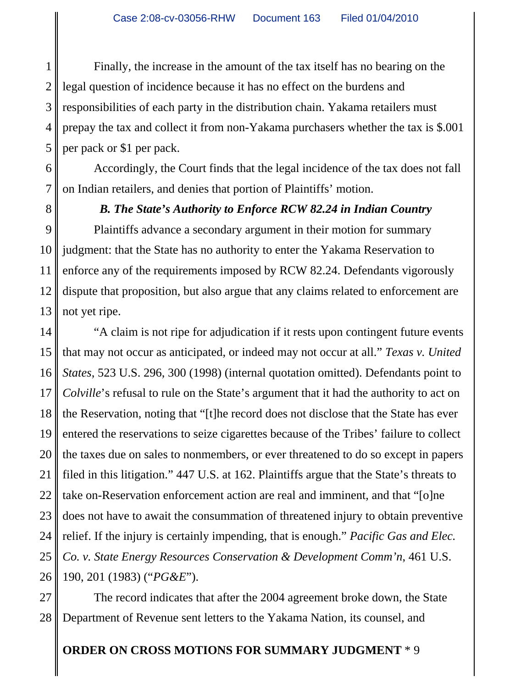1 2 3 Finally, the increase in the amount of the tax itself has no bearing on the legal question of incidence because it has no effect on the burdens and responsibilities of each party in the distribution chain. Yakama retailers must prepay the tax and collect it from non-Yakama purchasers whether the tax is \$.001 per pack or \$1 per pack.

Accordingly, the Court finds that the legal incidence of the tax does not fall on Indian retailers, and denies that portion of Plaintiffs' motion.

## *B. The State's Authority to Enforce RCW 82.24 in Indian Country*

Plaintiffs advance a secondary argument in their motion for summary judgment: that the State has no authority to enter the Yakama Reservation to enforce any of the requirements imposed by RCW 82.24. Defendants vigorously dispute that proposition, but also argue that any claims related to enforcement are not yet ripe.

"A claim is not ripe for adjudication if it rests upon contingent future events that may not occur as anticipated, or indeed may not occur at all." *Texas v. United States*, 523 U.S. 296, 300 (1998) (internal quotation omitted). Defendants point to *Colville*'s refusal to rule on the State's argument that it had the authority to act on the Reservation, noting that "[t]he record does not disclose that the State has ever entered the reservations to seize cigarettes because of the Tribes' failure to collect the taxes due on sales to nonmembers, or ever threatened to do so except in papers filed in this litigation." 447 U.S. at 162. Plaintiffs argue that the State's threats to take on-Reservation enforcement action are real and imminent, and that "[o]ne does not have to await the consummation of threatened injury to obtain preventive relief. If the injury is certainly impending, that is enough." *Pacific Gas and Elec. Co. v. State Energy Resources Conservation & Development Comm'n*, 461 U.S. 190, 201 (1983) ("*PG&E*").

The record indicates that after the 2004 agreement broke down, the State Department of Revenue sent letters to the Yakama Nation, its counsel, and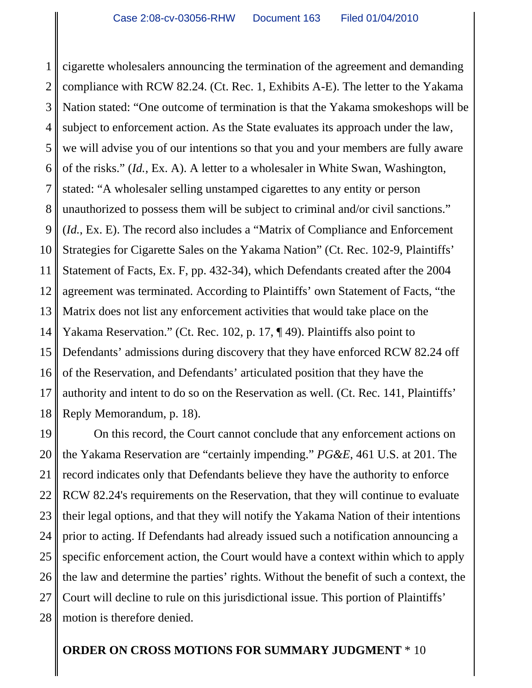1 2 3 4 5 6 7 8 9 10 11 12 13 14 15 16 17 18 cigarette wholesalers announcing the termination of the agreement and demanding compliance with RCW 82.24. (Ct. Rec. 1, Exhibits A-E). The letter to the Yakama Nation stated: "One outcome of termination is that the Yakama smokeshops will be subject to enforcement action. As the State evaluates its approach under the law, we will advise you of our intentions so that you and your members are fully aware of the risks." (*Id.*, Ex. A). A letter to a wholesaler in White Swan, Washington, stated: "A wholesaler selling unstamped cigarettes to any entity or person unauthorized to possess them will be subject to criminal and/or civil sanctions." (*Id.*, Ex. E). The record also includes a "Matrix of Compliance and Enforcement Strategies for Cigarette Sales on the Yakama Nation" (Ct. Rec. 102-9, Plaintiffs' Statement of Facts, Ex. F, pp. 432-34), which Defendants created after the 2004 agreement was terminated. According to Plaintiffs' own Statement of Facts, "the Matrix does not list any enforcement activities that would take place on the Yakama Reservation." (Ct. Rec. 102, p. 17, ¶ 49). Plaintiffs also point to Defendants' admissions during discovery that they have enforced RCW 82.24 off of the Reservation, and Defendants' articulated position that they have the authority and intent to do so on the Reservation as well. (Ct. Rec. 141, Plaintiffs' Reply Memorandum, p. 18).

19 20 21 22 23 24 25 26 27 28 On this record, the Court cannot conclude that any enforcement actions on the Yakama Reservation are "certainly impending." *PG&E*, 461 U.S. at 201. The record indicates only that Defendants believe they have the authority to enforce RCW 82.24's requirements on the Reservation, that they will continue to evaluate their legal options, and that they will notify the Yakama Nation of their intentions prior to acting. If Defendants had already issued such a notification announcing a specific enforcement action, the Court would have a context within which to apply the law and determine the parties' rights. Without the benefit of such a context, the Court will decline to rule on this jurisdictional issue. This portion of Plaintiffs' motion is therefore denied.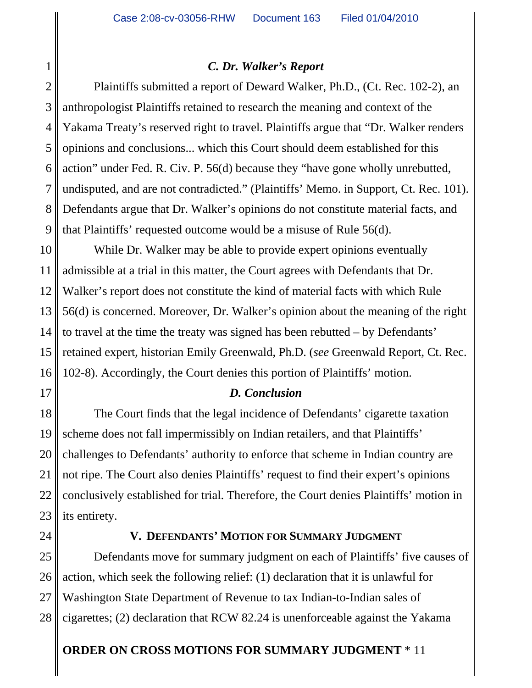## *C. Dr. Walker's Report*

2 3 4 Plaintiffs submitted a report of Deward Walker, Ph.D., (Ct. Rec. 102-2), an anthropologist Plaintiffs retained to research the meaning and context of the Yakama Treaty's reserved right to travel. Plaintiffs argue that "Dr. Walker renders opinions and conclusions... which this Court should deem established for this action" under Fed. R. Civ. P. 56(d) because they "have gone wholly unrebutted, undisputed, and are not contradicted." (Plaintiffs' Memo. in Support, Ct. Rec. 101). Defendants argue that Dr. Walker's opinions do not constitute material facts, and that Plaintiffs' requested outcome would be a misuse of Rule 56(d).

While Dr. Walker may be able to provide expert opinions eventually admissible at a trial in this matter, the Court agrees with Defendants that Dr. Walker's report does not constitute the kind of material facts with which Rule 56(d) is concerned. Moreover, Dr. Walker's opinion about the meaning of the right to travel at the time the treaty was signed has been rebutted – by Defendants' retained expert, historian Emily Greenwald, Ph.D. (*see* Greenwald Report, Ct. Rec. 102-8). Accordingly, the Court denies this portion of Plaintiffs' motion.

## *D. Conclusion*

The Court finds that the legal incidence of Defendants' cigarette taxation scheme does not fall impermissibly on Indian retailers, and that Plaintiffs' challenges to Defendants' authority to enforce that scheme in Indian country are not ripe. The Court also denies Plaintiffs' request to find their expert's opinions conclusively established for trial. Therefore, the Court denies Plaintiffs' motion in its entirety.

## **V. DEFENDANTS' MOTION FOR SUMMARY JUDGMENT**

Defendants move for summary judgment on each of Plaintiffs' five causes of action, which seek the following relief: (1) declaration that it is unlawful for Washington State Department of Revenue to tax Indian-to-Indian sales of cigarettes; (2) declaration that RCW 82.24 is unenforceable against the Yakama

# **ORDER ON CROSS MOTIONS FOR SUMMARY JUDGMENT** \* 11

1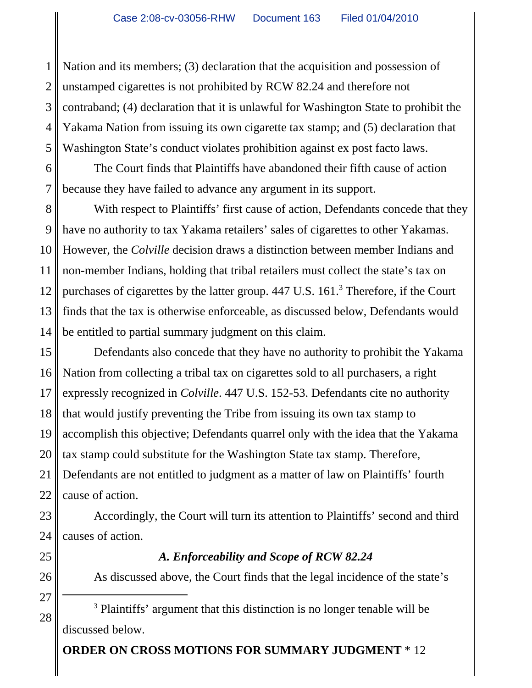1 2 3 4 5 Nation and its members; (3) declaration that the acquisition and possession of unstamped cigarettes is not prohibited by RCW 82.24 and therefore not contraband; (4) declaration that it is unlawful for Washington State to prohibit the Yakama Nation from issuing its own cigarette tax stamp; and (5) declaration that Washington State's conduct violates prohibition against ex post facto laws.

6 The Court finds that Plaintiffs have abandoned their fifth cause of action because they have failed to advance any argument in its support.

With respect to Plaintiffs' first cause of action, Defendants concede that they have no authority to tax Yakama retailers' sales of cigarettes to other Yakamas. However, the *Colville* decision draws a distinction between member Indians and non-member Indians, holding that tribal retailers must collect the state's tax on purchases of cigarettes by the latter group. 447 U.S. 161.<sup>3</sup> Therefore, if the Court finds that the tax is otherwise enforceable, as discussed below, Defendants would be entitled to partial summary judgment on this claim.

Defendants also concede that they have no authority to prohibit the Yakama Nation from collecting a tribal tax on cigarettes sold to all purchasers, a right expressly recognized in *Colville*. 447 U.S. 152-53. Defendants cite no authority that would justify preventing the Tribe from issuing its own tax stamp to accomplish this objective; Defendants quarrel only with the idea that the Yakama tax stamp could substitute for the Washington State tax stamp. Therefore, Defendants are not entitled to judgment as a matter of law on Plaintiffs' fourth cause of action.

Accordingly, the Court will turn its attention to Plaintiffs' second and third causes of action.

## *A. Enforceability and Scope of RCW 82.24*

As discussed above, the Court finds that the legal incidence of the state's

<sup>3</sup> Plaintiffs' argument that this distinction is no longer tenable will be discussed below.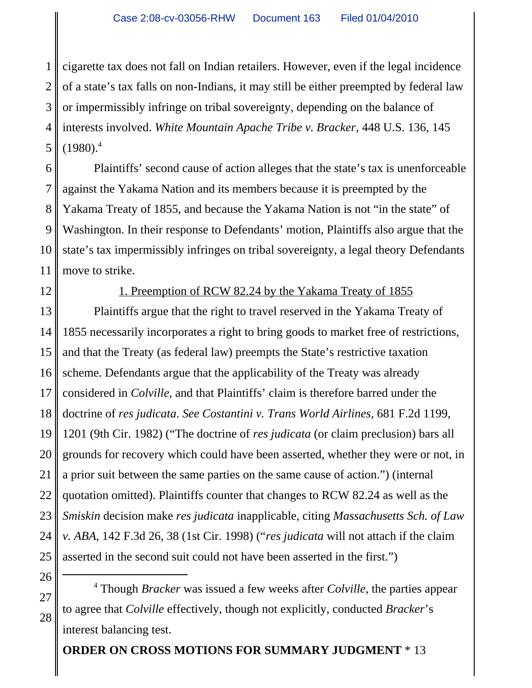1 2 3 4 5 cigarette tax does not fall on Indian retailers. However, even if the legal incidence of a state's tax falls on non-Indians, it may still be either preempted by federal law or impermissibly infringe on tribal sovereignty, depending on the balance of interests involved. *White Mountain Apache Tribe v. Bracker*, 448 U.S. 136, 145  $(1980)^4$ 

Plaintiffs' second cause of action alleges that the state's tax is unenforceable against the Yakama Nation and its members because it is preempted by the Yakama Treaty of 1855, and because the Yakama Nation is not "in the state" of Washington. In their response to Defendants' motion, Plaintiffs also argue that the state's tax impermissibly infringes on tribal sovereignty, a legal theory Defendants move to strike.

6

7

8

9

10

11

12

## 1. Preemption of RCW 82.24 by the Yakama Treaty of 1855

13 14 15 Plaintiffs argue that the right to travel reserved in the Yakama Treaty of 1855 necessarily incorporates a right to bring goods to market free of restrictions, and that the Treaty (as federal law) preempts the State's restrictive taxation scheme. Defendants argue that the applicability of the Treaty was already considered in *Colville*, and that Plaintiffs' claim is therefore barred under the doctrine of *res judicata*. *See Costantini v. Trans World Airlines*, 681 F.2d 1199, 1201 (9th Cir. 1982) ("The doctrine of *res judicata* (or claim preclusion) bars all grounds for recovery which could have been asserted, whether they were or not, in a prior suit between the same parties on the same cause of action.") (internal quotation omitted). Plaintiffs counter that changes to RCW 82.24 as well as the *Smiskin* decision make *res judicata* inapplicable, citing *Massachusetts Sch. of Law v. ABA*, 142 F.3d 26, 38 (1st Cir. 1998) ("*res judicata* will not attach if the claim asserted in the second suit could not have been asserted in the first.")

4 Though *Bracker* was issued a few weeks after *Colville*, the parties appear to agree that *Colville* effectively, though not explicitly, conducted *Bracker*'s interest balancing test.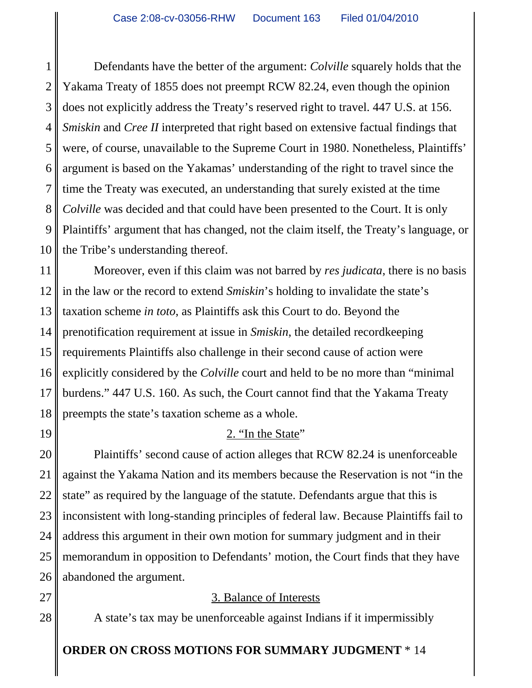Defendants have the better of the argument: *Colville* squarely holds that the Yakama Treaty of 1855 does not preempt RCW 82.24, even though the opinion does not explicitly address the Treaty's reserved right to travel. 447 U.S. at 156. *Smiskin* and *Cree II* interpreted that right based on extensive factual findings that were, of course, unavailable to the Supreme Court in 1980. Nonetheless, Plaintiffs' argument is based on the Yakamas' understanding of the right to travel since the time the Treaty was executed, an understanding that surely existed at the time *Colville* was decided and that could have been presented to the Court. It is only Plaintiffs' argument that has changed, not the claim itself, the Treaty's language, or the Tribe's understanding thereof.

Moreover, even if this claim was not barred by *res judicata*, there is no basis in the law or the record to extend *Smiskin*'s holding to invalidate the state's taxation scheme *in toto*, as Plaintiffs ask this Court to do. Beyond the prenotification requirement at issue in *Smiskin*, the detailed recordkeeping requirements Plaintiffs also challenge in their second cause of action were explicitly considered by the *Colville* court and held to be no more than "minimal burdens." 447 U.S. 160. As such, the Court cannot find that the Yakama Treaty preempts the state's taxation scheme as a whole.

# 2. "In the State"

Plaintiffs' second cause of action alleges that RCW 82.24 is unenforceable against the Yakama Nation and its members because the Reservation is not "in the state" as required by the language of the statute. Defendants argue that this is inconsistent with long-standing principles of federal law. Because Plaintiffs fail to address this argument in their own motion for summary judgment and in their memorandum in opposition to Defendants' motion, the Court finds that they have abandoned the argument.

3. Balance of Interests

A state's tax may be unenforceable against Indians if it impermissibly

# **ORDER ON CROSS MOTIONS FOR SUMMARY JUDGMENT** \* 14

1

2

3

4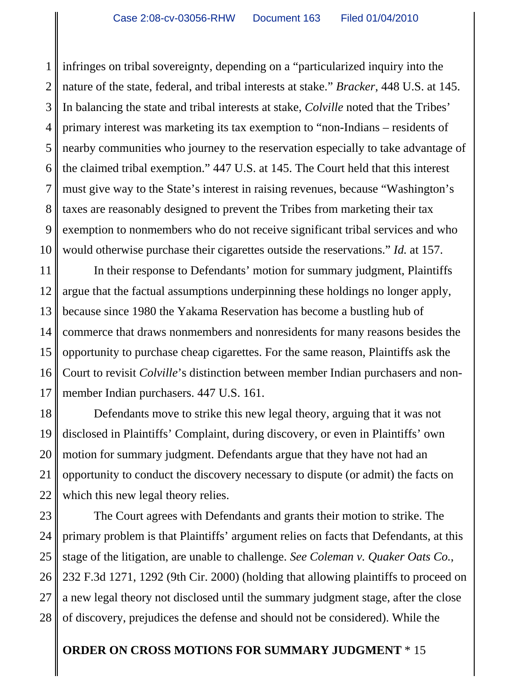1 2 3 4 5 6 7 infringes on tribal sovereignty, depending on a "particularized inquiry into the nature of the state, federal, and tribal interests at stake." *Bracker*, 448 U.S. at 145. In balancing the state and tribal interests at stake, *Colville* noted that the Tribes' primary interest was marketing its tax exemption to "non-Indians – residents of nearby communities who journey to the reservation especially to take advantage of the claimed tribal exemption." 447 U.S. at 145. The Court held that this interest must give way to the State's interest in raising revenues, because "Washington's taxes are reasonably designed to prevent the Tribes from marketing their tax exemption to nonmembers who do not receive significant tribal services and who would otherwise purchase their cigarettes outside the reservations." *Id.* at 157.

In their response to Defendants' motion for summary judgment, Plaintiffs argue that the factual assumptions underpinning these holdings no longer apply, because since 1980 the Yakama Reservation has become a bustling hub of commerce that draws nonmembers and nonresidents for many reasons besides the opportunity to purchase cheap cigarettes. For the same reason, Plaintiffs ask the Court to revisit *Colville*'s distinction between member Indian purchasers and nonmember Indian purchasers. 447 U.S. 161.

Defendants move to strike this new legal theory, arguing that it was not disclosed in Plaintiffs' Complaint, during discovery, or even in Plaintiffs' own motion for summary judgment. Defendants argue that they have not had an opportunity to conduct the discovery necessary to dispute (or admit) the facts on which this new legal theory relies.

The Court agrees with Defendants and grants their motion to strike. The primary problem is that Plaintiffs' argument relies on facts that Defendants, at this stage of the litigation, are unable to challenge. *See Coleman v. Quaker Oats Co.*, 232 F.3d 1271, 1292 (9th Cir. 2000) (holding that allowing plaintiffs to proceed on a new legal theory not disclosed until the summary judgment stage, after the close of discovery, prejudices the defense and should not be considered). While the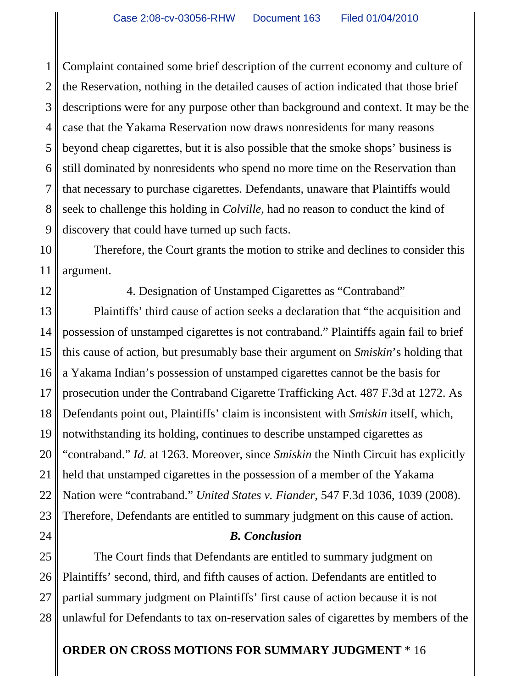1 2 3 4 5 6 7 8 9 Complaint contained some brief description of the current economy and culture of the Reservation, nothing in the detailed causes of action indicated that those brief descriptions were for any purpose other than background and context. It may be the case that the Yakama Reservation now draws nonresidents for many reasons beyond cheap cigarettes, but it is also possible that the smoke shops' business is still dominated by nonresidents who spend no more time on the Reservation than that necessary to purchase cigarettes. Defendants, unaware that Plaintiffs would seek to challenge this holding in *Colville*, had no reason to conduct the kind of discovery that could have turned up such facts.

10 11 Therefore, the Court grants the motion to strike and declines to consider this argument.

12

24

### 4. Designation of Unstamped Cigarettes as "Contraband"

13 14 15 16 17 18 19 20 21 22 23 Plaintiffs' third cause of action seeks a declaration that "the acquisition and possession of unstamped cigarettes is not contraband." Plaintiffs again fail to brief this cause of action, but presumably base their argument on *Smiskin*'s holding that a Yakama Indian's possession of unstamped cigarettes cannot be the basis for prosecution under the Contraband Cigarette Trafficking Act. 487 F.3d at 1272. As Defendants point out, Plaintiffs' claim is inconsistent with *Smiskin* itself, which, notwithstanding its holding, continues to describe unstamped cigarettes as "contraband." *Id.* at 1263. Moreover, since *Smiskin* the Ninth Circuit has explicitly held that unstamped cigarettes in the possession of a member of the Yakama Nation were "contraband." *United States v. Fiander*, 547 F.3d 1036, 1039 (2008). Therefore, Defendants are entitled to summary judgment on this cause of action.

## *B. Conclusion*

25 26 27 28 The Court finds that Defendants are entitled to summary judgment on Plaintiffs' second, third, and fifth causes of action. Defendants are entitled to partial summary judgment on Plaintiffs' first cause of action because it is not unlawful for Defendants to tax on-reservation sales of cigarettes by members of the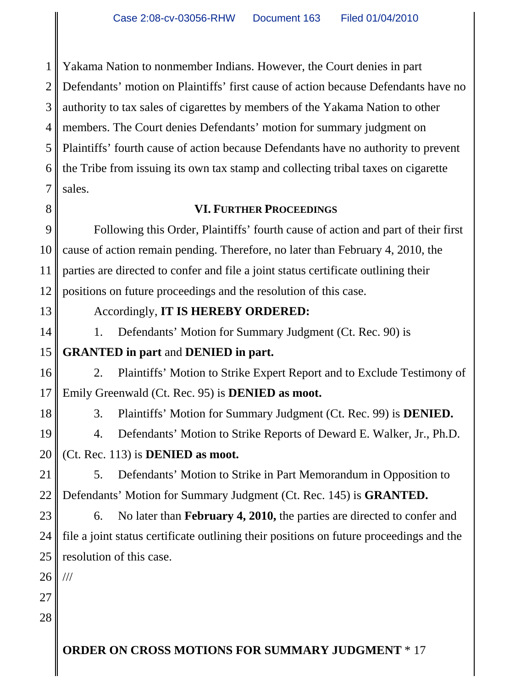1 2 3 4 5 6 7 Yakama Nation to nonmember Indians. However, the Court denies in part Defendants' motion on Plaintiffs' first cause of action because Defendants have no authority to tax sales of cigarettes by members of the Yakama Nation to other members. The Court denies Defendants' motion for summary judgment on Plaintiffs' fourth cause of action because Defendants have no authority to prevent the Tribe from issuing its own tax stamp and collecting tribal taxes on cigarette sales.

# **VI. FURTHER PROCEEDINGS**

9 10 11 12 Following this Order, Plaintiffs' fourth cause of action and part of their first cause of action remain pending. Therefore, no later than February 4, 2010, the parties are directed to confer and file a joint status certificate outlining their positions on future proceedings and the resolution of this case.

Accordingly, **IT IS HEREBY ORDERED:**

1. Defendants' Motion for Summary Judgment (Ct. Rec. 90) is

#### 15 **GRANTED in part** and **DENIED in part.**

16 17 2. Plaintiffs' Motion to Strike Expert Report and to Exclude Testimony of Emily Greenwald (Ct. Rec. 95) is **DENIED as moot.**

3. Plaintiffs' Motion for Summary Judgment (Ct. Rec. 99) is **DENIED.**

4. Defendants' Motion to Strike Reports of Deward E. Walker, Jr., Ph.D.

#### 20 (Ct. Rec. 113) is **DENIED as moot.**

21 22 5. Defendants' Motion to Strike in Part Memorandum in Opposition to Defendants' Motion for Summary Judgment (Ct. Rec. 145) is **GRANTED.**

23 24 25 6. No later than **February 4, 2010,** the parties are directed to confer and file a joint status certificate outlining their positions on future proceedings and the resolution of this case.

26 ///

27 28

8

13

14

18

19